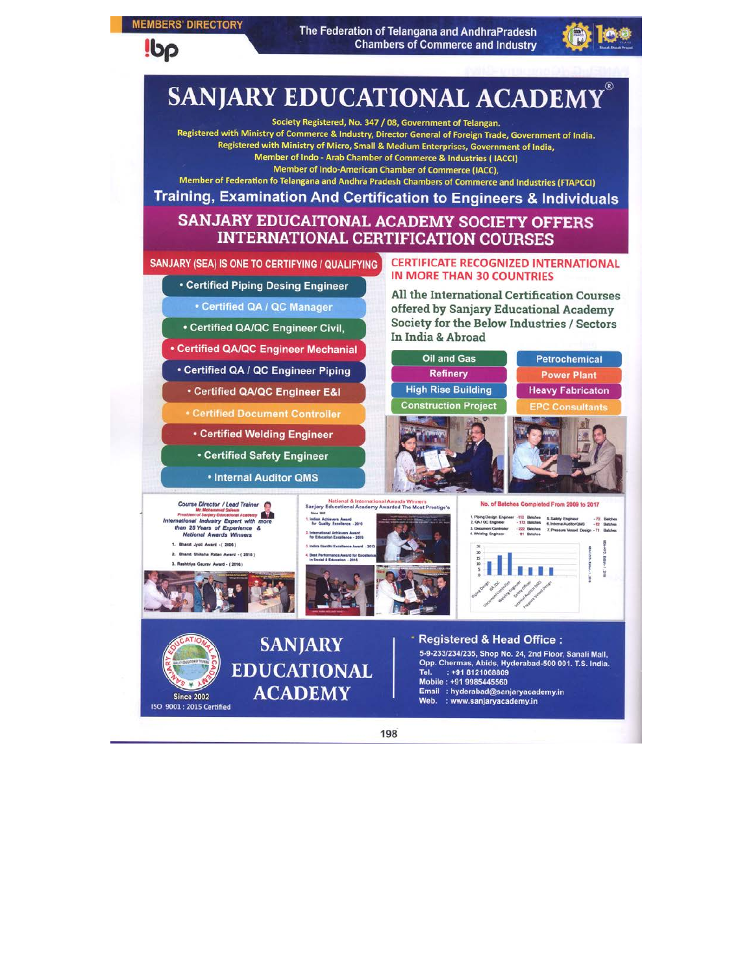#### **MEMBERS' DIRECTORY**

**Ibp** 

The Federation of Telangana and AndhraPradesh **Chambers of Commerce and Industry** 



# **SANJARY EDUCATIONAL ACADEMY**

Society Registered, No. 347 / 08, Government of Telangan.

Registered with Ministry of Commerce & Industry, Director General of Foreign Trade, Government of India. Registered with Ministry of Micro, Small & Medium Enterprises, Government of India, Member of Indo - Arab Chamber of Commerce & Industries (IACCI) Member of Indo-American Chamber of Commerce (IACC),

Member of Federation fo Telangana and Andhra Pradesh Chambers of Commerce and Industries (FTAPCCI)

# Training, Examination And Certification to Engineers & Individuals SANJARY EDUCAITONAL ACADEMY SOCIETY OFFERS

# **INTERNATIONAL CERTIFICATION COURSES**

SANJARY (SEA) IS ONE TO CERTIFYING / QUALIFYING

• Certified Piping Desing Engineer

• Certified QA / QC Manager

- Certified QA/QC Engineer Civil,
- **Certified QA/QC Engineer Mechanial**
- Certified QA / QC Engineer Piping
- Certified QA/QC Engineer E&I
- 
- 
- 
- 

**CERTIFICATE RECOGNIZED INTERNATIONAL IN MORE THAN 30 COUNTRIES** 

All the International Certification Courses offered by Sanjary Educational Academy Society for the Below Industries / Sectors In India & Abroad



198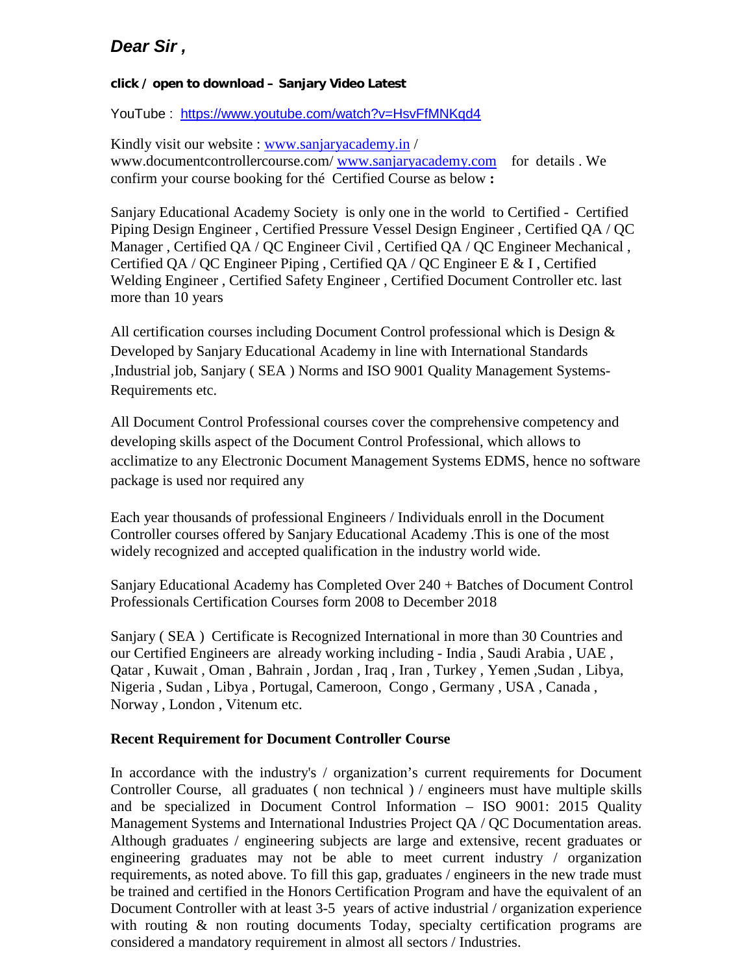# *Dear Sir ,*

## **click / open to download – Sanjary Video Latest**

YouTube : <https://www.youtube.com/watch?v=HsvFfMNKqd4>

Kindly visit our website : [www.sanjaryacademy.in](http://www.sanjaryacademy.in/) / www.documentcontrollercourse.com/ [www.sanjaryacademy.com](http://www.sanjaryacademy.com/) for details . We confirm your course booking for thé Certified Course as below **:**

Sanjary Educational Academy Society is only one in the world to Certified - Certified Piping Design Engineer , Certified Pressure Vessel Design Engineer , Certified QA / QC Manager , Certified QA / QC Engineer Civil , Certified QA / QC Engineer Mechanical , Certified QA / QC Engineer Piping , Certified QA / QC Engineer E & I , Certified Welding Engineer , Certified Safety Engineer , Certified Document Controller etc. last more than 10 years

All certification courses including Document Control professional which is Design  $\&$ Developed by Sanjary Educational Academy in line with International Standards ,Industrial job, Sanjary ( SEA ) Norms and ISO 9001 Quality Management Systems-Requirements etc.

All Document Control Professional courses cover the comprehensive competency and developing skills aspect of the Document Control Professional, which allows to acclimatize to any Electronic Document Management Systems EDMS, hence no software package is used nor required any

Each year thousands of professional Engineers / Individuals enroll in the Document Controller courses offered by Sanjary Educational Academy .This is one of the most widely recognized and accepted qualification in the industry world wide.

Sanjary Educational Academy has Completed Over 240 + Batches of Document Control Professionals Certification Courses form 2008 to December 2018

Sanjary ( SEA ) Certificate is Recognized International in more than 30 Countries and our Certified Engineers are already working including - India , Saudi Arabia , UAE , Qatar , Kuwait , Oman , Bahrain , Jordan , Iraq , Iran , Turkey , Yemen ,Sudan , Libya, Nigeria , Sudan , Libya , Portugal, Cameroon, Congo , Germany , USA , Canada , Norway , London , Vitenum etc.

## **Recent Requirement for Document Controller Course**

In accordance with the industry's / organization's current requirements for Document Controller Course, all graduates ( non technical ) / engineers must have multiple skills and be specialized in Document Control Information – ISO 9001: 2015 Quality Management Systems and International Industries Project QA / QC Documentation areas. Although graduates / engineering subjects are large and extensive, recent graduates or engineering graduates may not be able to meet current industry / organization requirements, as noted above. To fill this gap, graduates / engineers in the new trade must be trained and certified in the Honors Certification Program and have the equivalent of an Document Controller with at least 3-5 years of active industrial / organization experience with routing  $\&$  non routing documents Today, specialty certification programs are considered a mandatory requirement in almost all sectors / Industries.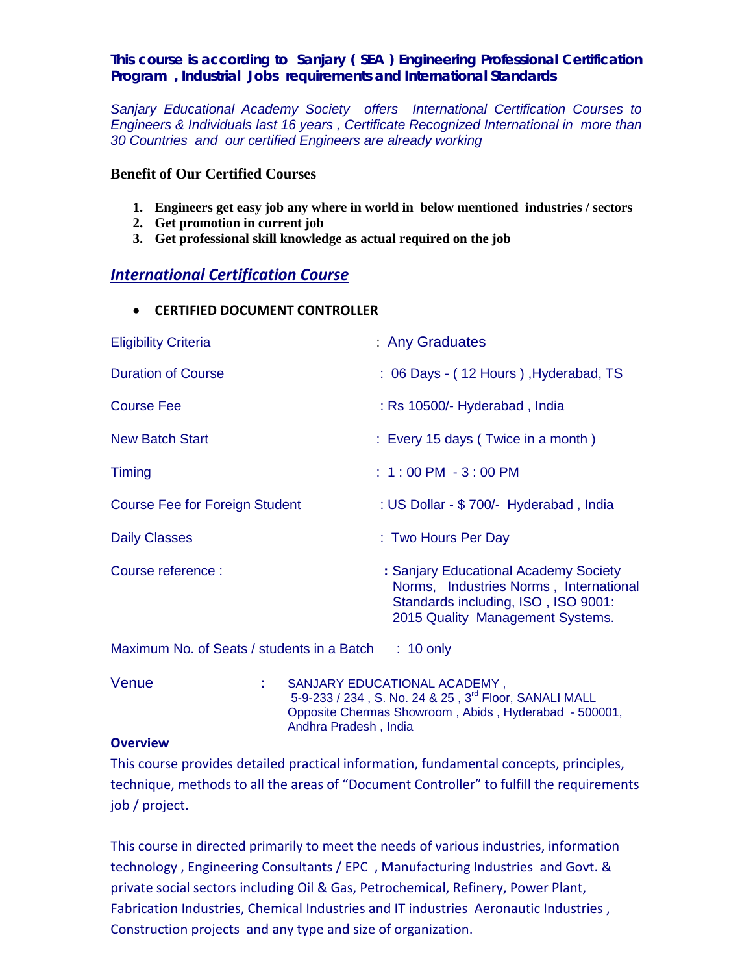### *This course is according to Sanjary ( SEA ) Engineering Professional Certification Program , Industrial Jobs requirements and International Standards*

*Sanjary Educational Academy Society offers International Certification Courses to Engineers & Individuals last 16 years , Certificate Recognized International in more than 30 Countries and our certified Engineers are already working* 

#### **Benefit of Our Certified Courses**

- **1. Engineers get easy job any where in world in below mentioned industries / sectors**
- **2. Get promotion in current job**
- **3. Get professional skill knowledge as actual required on the job**

## *International Certification Course*

• **CERTIFIED DOCUMENT CONTROLLER**

| <b>Eligibility Criteria</b>                | : Any Graduates                                                                                                                                            |
|--------------------------------------------|------------------------------------------------------------------------------------------------------------------------------------------------------------|
| <b>Duration of Course</b>                  | : 06 Days - (12 Hours), Hyderabad, TS                                                                                                                      |
| <b>Course Fee</b>                          | : Rs 10500/- Hyderabad, India                                                                                                                              |
| <b>New Batch Start</b>                     | : Every 15 days (Twice in a month)                                                                                                                         |
| Timing                                     | $: 1:00$ PM $-3:00$ PM                                                                                                                                     |
| <b>Course Fee for Foreign Student</b>      | : US Dollar - \$700/- Hyderabad, India                                                                                                                     |
| <b>Daily Classes</b>                       | : Two Hours Per Day                                                                                                                                        |
| Course reference :                         | : Sanjary Educational Academy Society<br>Norms, Industries Norms, International<br>Standards including, ISO, ISO 9001:<br>2015 Quality Management Systems. |
| Maximum No. of Seats / students in a Batch | $: 10$ only                                                                                                                                                |

Venue **:** SANJARY EDUCATIONAL ACADEMY , 5-9-233 / 234, S. No. 24 & 25, 3<sup>rd</sup> Floor, SANALI MALL Opposite Chermas Showroom , Abids , Hyderabad - 500001, Andhra Pradesh , India

#### **Overview**

This course provides detailed practical information, fundamental concepts, principles, technique, methods to all the areas of "Document Controller" to fulfill the requirements job / project.

This course in directed primarily to meet the needs of various industries, information technology , Engineering Consultants / EPC , Manufacturing Industries and Govt. & private social sectors including Oil & Gas, Petrochemical, Refinery, Power Plant, Fabrication Industries, Chemical Industries and IT industries Aeronautic Industries , Construction projects and any type and size of organization.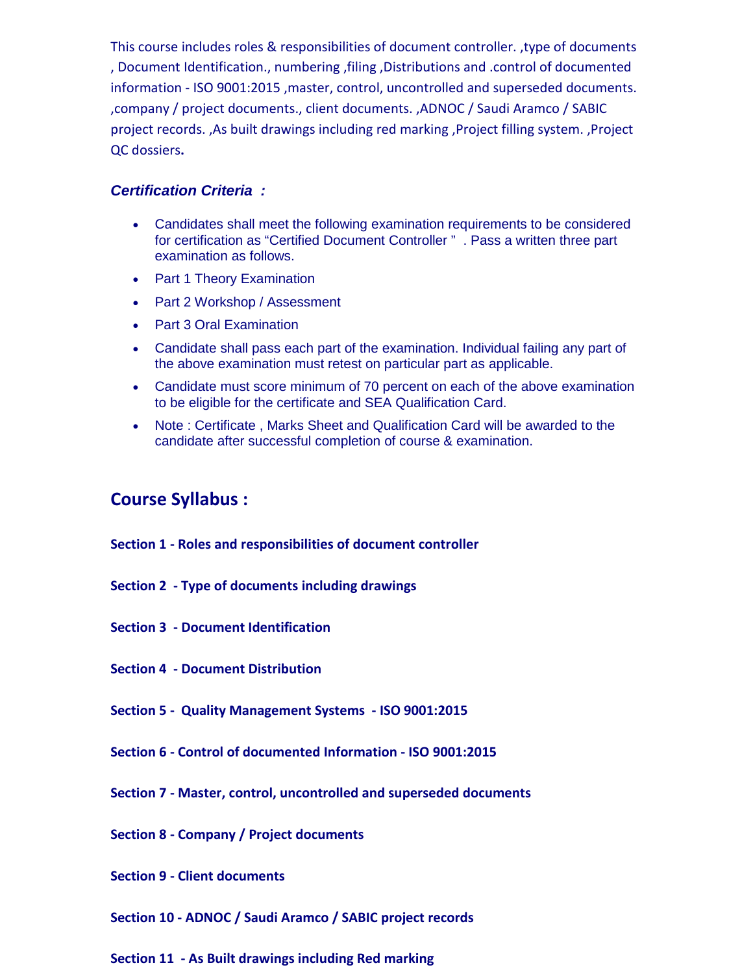This course includes roles & responsibilities of document controller. ,type of documents , Document Identification., numbering ,filing ,Distributions and .control of documented information - ISO 9001:2015 ,master, control, uncontrolled and superseded documents. ,company / project documents., client documents. ,ADNOC / Saudi Aramco / SABIC project records. ,As built drawings including red marking ,Project filling system. ,Project QC dossiers**.**

## *Certification Criteria :*

- Candidates shall meet the following examination requirements to be considered for certification as "Certified Document Controller " . Pass a written three part examination as follows.
- Part 1 Theory Examination
- Part 2 Workshop / Assessment
- Part 3 Oral Examination
- Candidate shall pass each part of the examination. Individual failing any part of the above examination must retest on particular part as applicable.
- Candidate must score minimum of 70 percent on each of the above examination to be eligible for the certificate and SEA Qualification Card.
- Note : Certificate , Marks Sheet and Qualification Card will be awarded to the candidate after successful completion of course & examination.

# **Course Syllabus :**

- **Section 1 - Roles and responsibilities of document controller**
- **Section 2 - Type of documents including drawings**
- **Section 3 - Document Identification**
- **Section 4 - Document Distribution**
- **Section 5 Quality Management Systems - ISO 9001:2015**
- **Section 6 - Control of documented Information - ISO 9001:2015**
- **Section 7 - Master, control, uncontrolled and superseded documents**
- **Section 8 - Company / Project documents**
- **Section 9 - Client documents**
- **Section 10 - ADNOC / Saudi Aramco / SABIC project records**
- **Section 11 - As Built drawings including Red marking**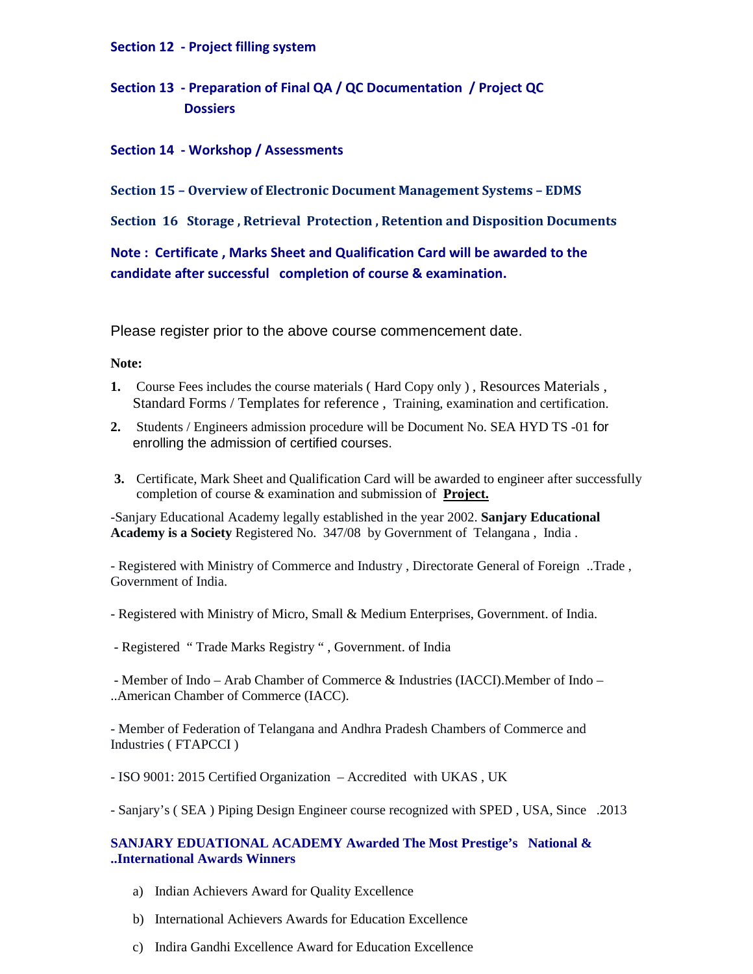#### **Section 12 - Project filling system**

**Section 13 - Preparation of Final QA / QC Documentation / Project QC Dossiers**

#### **Section 14 - Workshop / Assessments**

**Section 15 – Overview of Electronic Document Management Systems – EDMS**

**Section 16 Storage , Retrieval Protection , Retention and Disposition Documents**

**Note : Certificate , Marks Sheet and Qualification Card will be awarded to the candidate after successful completion of course & examination.**

Please register prior to the above course commencement date.

#### **Note:**

- **1.** Course Fees includes the course materials ( Hard Copy only ) , Resources Materials , Standard Forms / Templates for reference , Training, examination and certification.
- **2.** Students / Engineers admission procedure will be Document No. SEA HYD TS -01 for enrolling the admission of certified courses.
- **3.** Certificate, Mark Sheet and Qualification Card will be awarded to engineer after successfully completion of course & examination and submission of **Project.**

-Sanjary Educational Academy legally established in the year 2002. **Sanjary Educational Academy is a Society** Registered No. 347/08 by Government of Telangana , India .

- Registered with Ministry of Commerce and Industry , Directorate General of Foreign ..Trade , Government of India.

- Registered with Ministry of Micro, Small & Medium Enterprises, Government. of India.
- Registered " Trade Marks Registry " , Government. of India

- Member of Indo – Arab Chamber of Commerce & Industries (IACCI).Member of Indo – ..American Chamber of Commerce (IACC).

- Member of Federation of Telangana and Andhra Pradesh Chambers of Commerce and Industries ( FTAPCCI )

- ISO 9001: 2015 Certified Organization – Accredited with UKAS , UK

- Sanjary's ( SEA ) Piping Design Engineer course recognized with SPED , USA, Since .2013

#### **SANJARY EDUATIONAL ACADEMY Awarded The Most Prestige's National & ..International Awards Winners**

- a) Indian Achievers Award for Quality Excellence
- b) International Achievers Awards for Education Excellence
- c) Indira Gandhi Excellence Award for Education Excellence